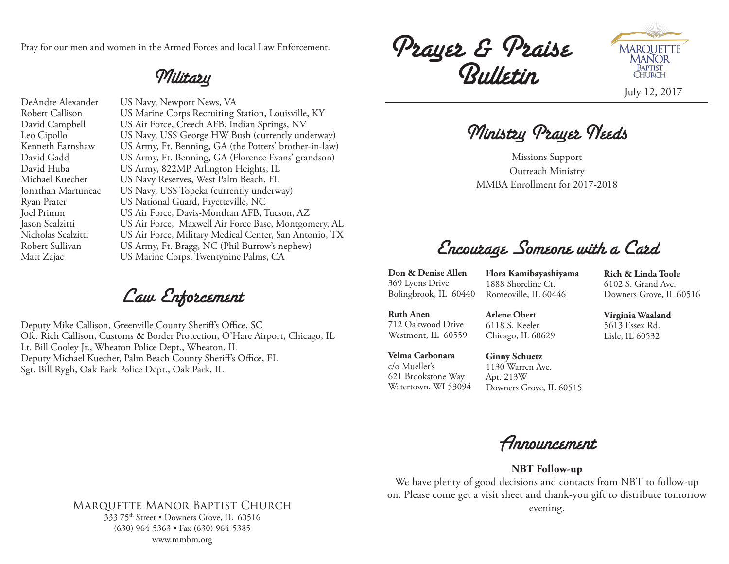Pray for our men and women in the Armed Forces and local Law Enforcement.

Military

DeAndre Alexander US Navy, Newport News, VA Robert Callison US Marine Corps Recruiting Station, Louisville, KY David Campbell US Air Force, Creech AFB, Indian Springs, NV Leo Cipollo US Navy, USS George HW Bush (currently underway) Kenneth Earnshaw US Army, Ft. Benning, GA (the Potters' brother-in-law) David Gadd US Army, Ft. Benning, GA (Florence Evans' grandson) David Huba US Army, 822MP, Arlington Heights, IL Michael Kuecher US Navy Reserves, West Palm Beach, FL Jonathan Martuneac US Navy, USS Topeka (currently underway) Ryan Prater US National Guard, Fayetteville, NC Joel Primm US Air Force, Davis-Monthan AFB, Tucson, AZ Jason Scalzitti US Air Force, Maxwell Air Force Base, Montgomery, AL Nicholas Scalzitti US Air Force, Military Medical Center, San Antonio, TX Robert Sullivan US Army, Ft. Bragg, NC (Phil Burrow's nephew) Matt Zajac US Marine Corps, Twentynine Palms, CA

Law Enforcement

Deputy Mike Callison, Greenville County Sheriff's Office, SC Ofc. Rich Callison, Customs & Border Protection, O'Hare Airport, Chicago, IL Lt. Bill Cooley Jr., Wheaton Police Dept., Wheaton, IL Deputy Michael Kuecher, Palm Beach County Sheriff's Office, FL Sgt. Bill Rygh, Oak Park Police Dept., Oak Park, IL

Prayer & Praise Bulletin



Ministry Prayer Needs

Missions Support Outreach Ministry MMBA Enrollment for 2017-2018

Encourage Someone with a Card

**Don & Denise Allen** 369 Lyons Drive Bolingbrook, IL 60440

**Flora Kamibayashiyama** 1888 Shoreline Ct. Romeoville, IL 60446

**Rich & Linda Toole** 6102 S. Grand Ave. Downers Grove, IL 60516

**Ruth Anen** 712 Oakwood Drive Westmont, IL 60559 **Arlene Obert** 6118 S. Keeler Chicago, IL 60629

**Virginia Waaland** 5613 Essex Rd. Lisle, IL 60532

**Velma Carbonara** c/o Mueller's 621 Brookstone Way Watertown, WI 53094

**Ginny Schuetz** 1130 Warren Ave. Apt. 213W Downers Grove, IL 60515



**NBT Follow-up**

We have plenty of good decisions and contacts from NBT to follow-up on. Please come get a visit sheet and thank-you gift to distribute tomorrow evening.

### Marquette Manor Baptist Church 333 75th Street • Downers Grove, IL 60516 (630) 964-5363 • Fax (630) 964-5385

www.mmbm.org